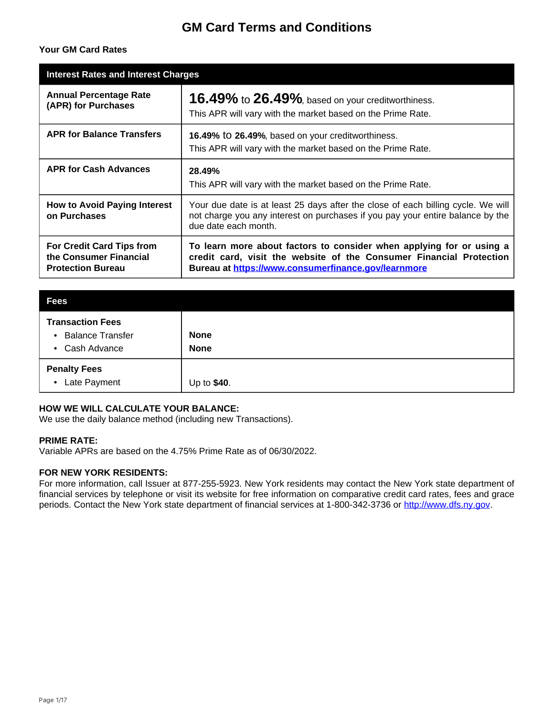# **GM Card Terms and Conditions**

# **Your GM Card Rates**

| <b>Interest Rates and Interest Charges</b>                                      |                                                                                                                                                                                                    |
|---------------------------------------------------------------------------------|----------------------------------------------------------------------------------------------------------------------------------------------------------------------------------------------------|
| <b>Annual Percentage Rate</b><br>(APR) for Purchases                            | 16.49% to 26.49%, based on your creditworthiness.<br>This APR will vary with the market based on the Prime Rate.                                                                                   |
| <b>APR for Balance Transfers</b>                                                | 16.49% to 26.49%, based on your creditworthiness.<br>This APR will vary with the market based on the Prime Rate.                                                                                   |
| <b>APR for Cash Advances</b>                                                    | 28.49%<br>This APR will vary with the market based on the Prime Rate.                                                                                                                              |
| <b>How to Avoid Paying Interest</b><br>on Purchases                             | Your due date is at least 25 days after the close of each billing cycle. We will<br>not charge you any interest on purchases if you pay your entire balance by the<br>due date each month.         |
| For Credit Card Tips from<br>the Consumer Financial<br><b>Protection Bureau</b> | To learn more about factors to consider when applying for or using a<br>credit card, visit the website of the Consumer Financial Protection<br>Bureau at https://www.consumerfinance.gov/learnmore |

| <b>Fees</b>                                                     |                            |
|-----------------------------------------------------------------|----------------------------|
| <b>Transaction Fees</b><br>• Balance Transfer<br>• Cash Advance | <b>None</b><br><b>None</b> |
| <b>Penalty Fees</b><br>• Late Payment                           | Up to \$40.                |

# **HOW WE WILL CALCULATE YOUR BALANCE:**

We use the daily balance method (including new Transactions).

# **PRIME RATE:**

Variable APRs are based on the 4.75% Prime Rate as of 06/30/2022.

## **FOR NEW YORK RESIDENTS:**

For more information, call Issuer at 877-255-5923. New York residents may contact the New York state department of financial services by telephone or visit its website for free information on comparative credit card rates, fees and grace periods. Contact the New York state department of financial services at 1-800-342-3736 or [http://www.dfs.ny.gov.](http://www.dfs.ny.gov)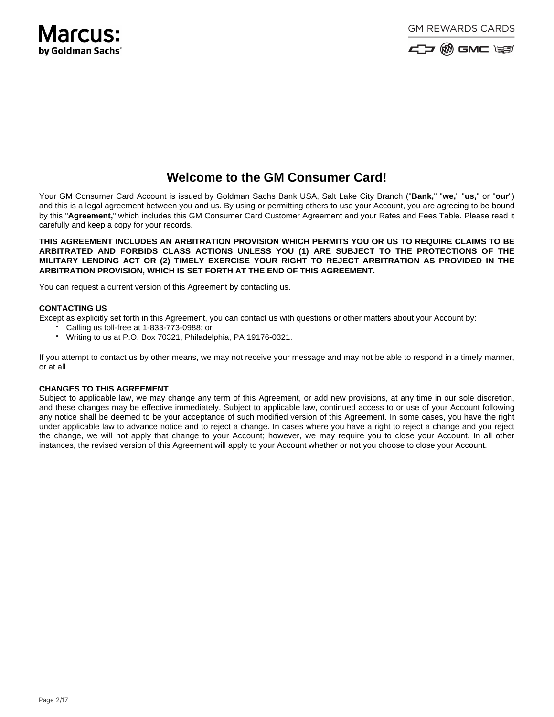

**GM REWARDS CARDS** 



# **Welcome to the GM Consumer Card!**

Your GM Consumer Card Account is issued by Goldman Sachs Bank USA, Salt Lake City Branch ("**Bank,**" "**we,**" "**us,**" or "**our**") and this is a legal agreement between you and us. By using or permitting others to use your Account, you are agreeing to be bound by this "**Agreement,**" which includes this GM Consumer Card Customer Agreement and your Rates and Fees Table. Please read it carefully and keep a copy for your records.

**THIS AGREEMENT INCLUDES AN ARBITRATION PROVISION WHICH PERMITS YOU OR US TO REQUIRE CLAIMS TO BE ARBITRATED AND FORBIDS CLASS ACTIONS UNLESS YOU (1) ARE SUBJECT TO THE PROTECTIONS OF THE MILITARY LENDING ACT OR (2) TIMELY EXERCISE YOUR RIGHT TO REJECT ARBITRATION AS PROVIDED IN THE ARBITRATION PROVISION, WHICH IS SET FORTH AT THE END OF THIS AGREEMENT.**

You can request a current version of this Agreement by contacting us.

#### **CONTACTING US**

Except as explicitly set forth in this Agreement, you can contact us with questions or other matters about your Account by:

- Calling us toll-free at  $1-833-773-0988$ ; or
- Writing to us at P.O. Box 70321, Philadelphia, PA 19176-0321. •

If you attempt to contact us by other means, we may not receive your message and may not be able to respond in a timely manner, or at all.

## **CHANGES TO THIS AGREEMENT**

Subject to applicable law, we may change any term of this Agreement, or add new provisions, at any time in our sole discretion, and these changes may be effective immediately. Subject to applicable law, continued access to or use of your Account following any notice shall be deemed to be your acceptance of such modified version of this Agreement. In some cases, you have the right under applicable law to advance notice and to reject a change. In cases where you have a right to reject a change and you reject the change, we will not apply that change to your Account; however, we may require you to close your Account. In all other instances, the revised version of this Agreement will apply to your Account whether or not you choose to close your Account.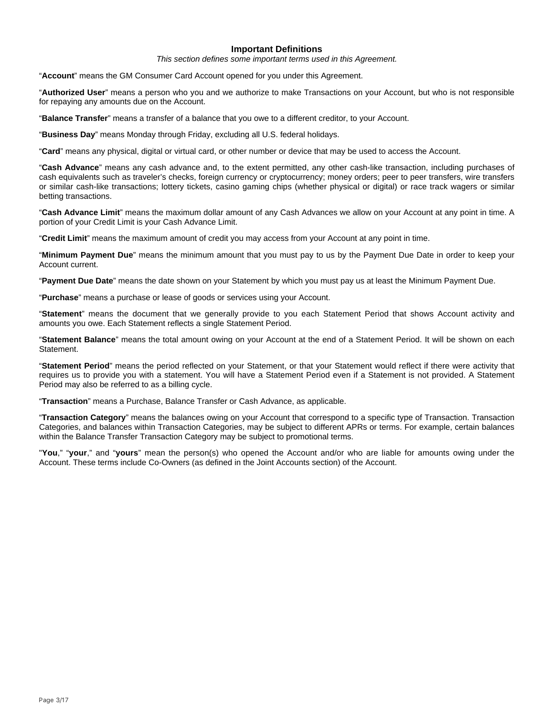## **Important Definitions**

This section defines some important terms used in this Agreement.

"**Account**" means the GM Consumer Card Account opened for you under this Agreement.

"**Authorized User**" means a person who you and we authorize to make Transactions on your Account, but who is not responsible for repaying any amounts due on the Account.

"**Balance Transfer**" means a transfer of a balance that you owe to a different creditor, to your Account.

"**Business Day**" means Monday through Friday, excluding all U.S. federal holidays.

"**Card**" means any physical, digital or virtual card, or other number or device that may be used to access the Account.

"**Cash Advance**" means any cash advance and, to the extent permitted, any other cash-like transaction, including purchases of cash equivalents such as traveler's checks, foreign currency or cryptocurrency; money orders; peer to peer transfers, wire transfers or similar cash-like transactions; lottery tickets, casino gaming chips (whether physical or digital) or race track wagers or similar betting transactions.

"**Cash Advance Limit**" means the maximum dollar amount of any Cash Advances we allow on your Account at any point in time. A portion of your Credit Limit is your Cash Advance Limit.

"**Credit Limit**" means the maximum amount of credit you may access from your Account at any point in time.

"**Minimum Payment Due**" means the minimum amount that you must pay to us by the Payment Due Date in order to keep your Account current.

"**Payment Due Date**" means the date shown on your Statement by which you must pay us at least the Minimum Payment Due.

"**Purchase**" means a purchase or lease of goods or services using your Account.

"**Statement**" means the document that we generally provide to you each Statement Period that shows Account activity and amounts you owe. Each Statement reflects a single Statement Period.

"**Statement Balance**" means the total amount owing on your Account at the end of a Statement Period. It will be shown on each Statement.

"**Statement Period**" means the period reflected on your Statement, or that your Statement would reflect if there were activity that requires us to provide you with a statement. You will have a Statement Period even if a Statement is not provided. A Statement Period may also be referred to as a billing cycle.

"**Transaction**" means a Purchase, Balance Transfer or Cash Advance, as applicable.

"**Transaction Category**" means the balances owing on your Account that correspond to a specific type of Transaction. Transaction Categories, and balances within Transaction Categories, may be subject to different APRs or terms. For example, certain balances within the Balance Transfer Transaction Category may be subject to promotional terms.

"**You**," "**your**," and "**yours**" mean the person(s) who opened the Account and/or who are liable for amounts owing under the Account. These terms include Co-Owners (as defined in the Joint Accounts section) of the Account.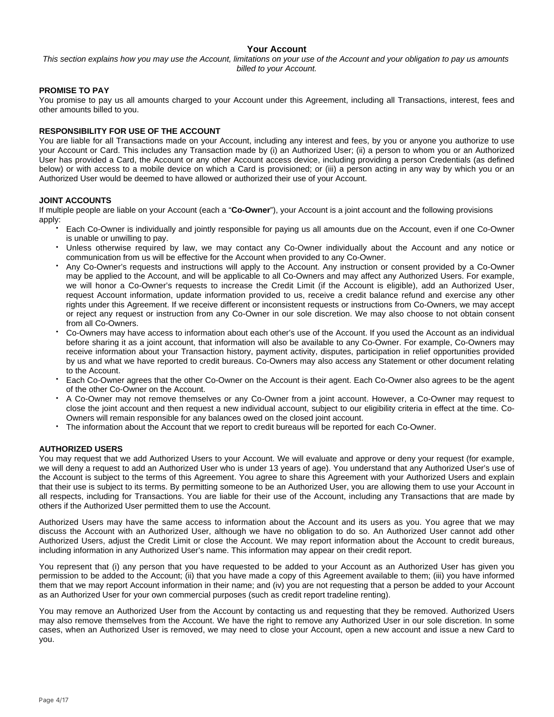## **Your Account**

This section explains how you may use the Account, limitations on your use of the Account and your obligation to pay us amounts billed to your Account.

## **PROMISE TO PAY**

You promise to pay us all amounts charged to your Account under this Agreement, including all Transactions, interest, fees and other amounts billed to you.

## **RESPONSIBILITY FOR USE OF THE ACCOUNT**

You are liable for all Transactions made on your Account, including any interest and fees, by you or anyone you authorize to use your Account or Card. This includes any Transaction made by (i) an Authorized User; (ii) a person to whom you or an Authorized User has provided a Card, the Account or any other Account access device, including providing a person Credentials (as defined below) or with access to a mobile device on which a Card is provisioned; or (iii) a person acting in any way by which you or an Authorized User would be deemed to have allowed or authorized their use of your Account.

## **JOINT ACCOUNTS**

If multiple people are liable on your Account (each a "**Co-Owner**"), your Account is a joint account and the following provisions apply:

- Each Co-Owner is individually and jointly responsible for paying us all amounts due on the Account, even if one Co-Owner is unable or unwilling to pay. •
- Unless otherwise required by law, we may contact any Co-Owner individually about the Account and any notice or communication from us will be effective for the Account when provided to any Co-Owner. •
- Any Co-Owner's requests and instructions will apply to the Account. Any instruction or consent provided by a Co-Owner may be applied to the Account, and will be applicable to all Co-Owners and may affect any Authorized Users. For example, we will honor a Co-Owner's requests to increase the Credit Limit (if the Account is eligible), add an Authorized User, request Account information, update information provided to us, receive a credit balance refund and exercise any other rights under this Agreement. If we receive different or inconsistent requests or instructions from Co-Owners, we may accept or reject any request or instruction from any Co-Owner in our sole discretion. We may also choose to not obtain consent from all Co-Owners. •
- Co-Owners may have access to information about each other's use of the Account. If you used the Account as an individual before sharing it as a joint account, that information will also be available to any Co-Owner. For example, Co-Owners may receive information about your Transaction history, payment activity, disputes, participation in relief opportunities provided by us and what we have reported to credit bureaus. Co-Owners may also access any Statement or other document relating to the Account. •
- Each Co-Owner agrees that the other Co-Owner on the Account is their agent. Each Co-Owner also agrees to be the agent of the other Co-Owner on the Account. •
- A Co-Owner may not remove themselves or any Co-Owner from a joint account. However, a Co-Owner may request to close the joint account and then request a new individual account, subject to our eligibility criteria in effect at the time. Co-Owners will remain responsible for any balances owed on the closed joint account. •
- The information about the Account that we report to credit bureaus will be reported for each Co-Owner. •

## **AUTHORIZED USERS**

You may request that we add Authorized Users to your Account. We will evaluate and approve or deny your request (for example, we will deny a request to add an Authorized User who is under 13 years of age). You understand that any Authorized User's use of the Account is subject to the terms of this Agreement. You agree to share this Agreement with your Authorized Users and explain that their use is subject to its terms. By permitting someone to be an Authorized User, you are allowing them to use your Account in all respects, including for Transactions. You are liable for their use of the Account, including any Transactions that are made by others if the Authorized User permitted them to use the Account.

Authorized Users may have the same access to information about the Account and its users as you. You agree that we may discuss the Account with an Authorized User, although we have no obligation to do so. An Authorized User cannot add other Authorized Users, adjust the Credit Limit or close the Account. We may report information about the Account to credit bureaus, including information in any Authorized User's name. This information may appear on their credit report.

You represent that (i) any person that you have requested to be added to your Account as an Authorized User has given you permission to be added to the Account; (ii) that you have made a copy of this Agreement available to them; (iii) you have informed them that we may report Account information in their name; and (iv) you are not requesting that a person be added to your Account as an Authorized User for your own commercial purposes (such as credit report tradeline renting).

You may remove an Authorized User from the Account by contacting us and requesting that they be removed. Authorized Users may also remove themselves from the Account. We have the right to remove any Authorized User in our sole discretion. In some cases, when an Authorized User is removed, we may need to close your Account, open a new account and issue a new Card to you.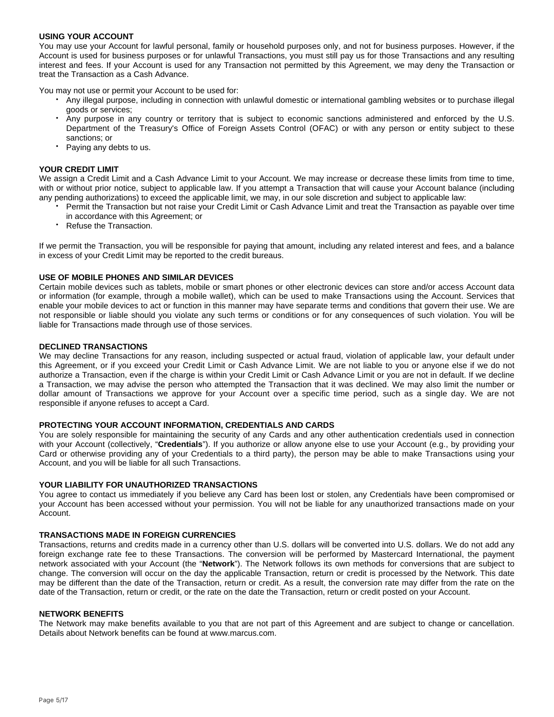#### **USING YOUR ACCOUNT**

You may use your Account for lawful personal, family or household purposes only, and not for business purposes. However, if the Account is used for business purposes or for unlawful Transactions, you must still pay us for those Transactions and any resulting interest and fees. If your Account is used for any Transaction not permitted by this Agreement, we may deny the Transaction or treat the Transaction as a Cash Advance.

You may not use or permit your Account to be used for:

- Any illegal purpose, including in connection with unlawful domestic or international gambling websites or to purchase illegal goods or services;
- Any purpose in any country or territory that is subject to economic sanctions administered and enforced by the U.S. Department of the Treasury's Office of Foreign Assets Control (OFAC) or with any person or entity subject to these sanctions; or
- Paying any debts to us.

#### **YOUR CREDIT LIMIT**

We assign a Credit Limit and a Cash Advance Limit to your Account. We may increase or decrease these limits from time to time, with or without prior notice, subject to applicable law. If you attempt a Transaction that will cause your Account balance (including any pending authorizations) to exceed the applicable limit, we may, in our sole discretion and subject to applicable law:

- Permit the Transaction but not raise your Credit Limit or Cash Advance Limit and treat the Transaction as payable over time in accordance with this Agreement; or
- Refuse the Transaction.

If we permit the Transaction, you will be responsible for paying that amount, including any related interest and fees, and a balance in excess of your Credit Limit may be reported to the credit bureaus.

#### **USE OF MOBILE PHONES AND SIMILAR DEVICES**

Certain mobile devices such as tablets, mobile or smart phones or other electronic devices can store and/or access Account data or information (for example, through a mobile wallet), which can be used to make Transactions using the Account. Services that enable your mobile devices to act or function in this manner may have separate terms and conditions that govern their use. We are not responsible or liable should you violate any such terms or conditions or for any consequences of such violation. You will be liable for Transactions made through use of those services.

#### **DECLINED TRANSACTIONS**

We may decline Transactions for any reason, including suspected or actual fraud, violation of applicable law, your default under this Agreement, or if you exceed your Credit Limit or Cash Advance Limit. We are not liable to you or anyone else if we do not authorize a Transaction, even if the charge is within your Credit Limit or Cash Advance Limit or you are not in default. If we decline a Transaction, we may advise the person who attempted the Transaction that it was declined. We may also limit the number or dollar amount of Transactions we approve for your Account over a specific time period, such as a single day. We are not responsible if anyone refuses to accept a Card.

#### **PROTECTING YOUR ACCOUNT INFORMATION, CREDENTIALS AND CARDS**

You are solely responsible for maintaining the security of any Cards and any other authentication credentials used in connection with your Account (collectively, "**Credentials**"). If you authorize or allow anyone else to use your Account (e.g., by providing your Card or otherwise providing any of your Credentials to a third party), the person may be able to make Transactions using your Account, and you will be liable for all such Transactions.

#### **YOUR LIABILITY FOR UNAUTHORIZED TRANSACTIONS**

You agree to contact us immediately if you believe any Card has been lost or stolen, any Credentials have been compromised or your Account has been accessed without your permission. You will not be liable for any unauthorized transactions made on your Account.

#### **TRANSACTIONS MADE IN FOREIGN CURRENCIES**

Transactions, returns and credits made in a currency other than U.S. dollars will be converted into U.S. dollars. We do not add any foreign exchange rate fee to these Transactions. The conversion will be performed by Mastercard International, the payment network associated with your Account (the "**Network**"). The Network follows its own methods for conversions that are subject to change. The conversion will occur on the day the applicable Transaction, return or credit is processed by the Network. This date may be different than the date of the Transaction, return or credit. As a result, the conversion rate may differ from the rate on the date of the Transaction, return or credit, or the rate on the date the Transaction, return or credit posted on your Account.

#### **NETWORK BENEFITS**

The Network may make benefits available to you that are not part of this Agreement and are subject to change or cancellation. Details about Network benefits can be found at www.marcus.com.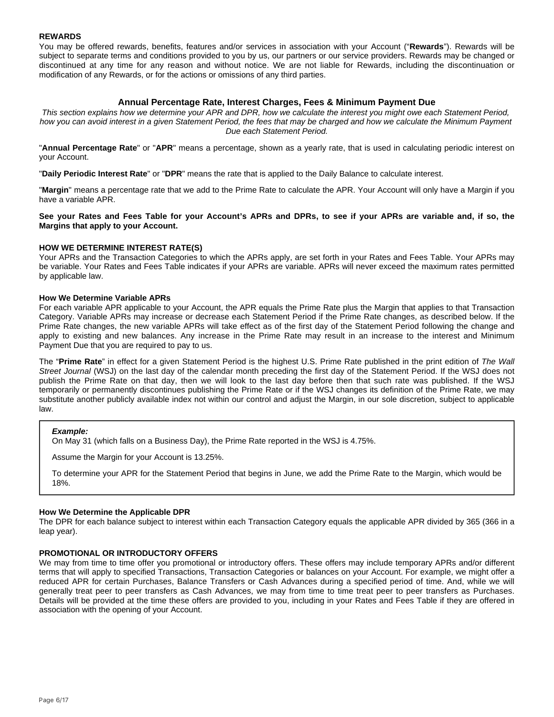### **REWARDS**

You may be offered rewards, benefits, features and/or services in association with your Account ("**Rewards**"). Rewards will be subject to separate terms and conditions provided to you by us, our partners or our service providers. Rewards may be changed or discontinued at any time for any reason and without notice. We are not liable for Rewards, including the discontinuation or modification of any Rewards, or for the actions or omissions of any third parties.

## **Annual Percentage Rate, Interest Charges, Fees & Minimum Payment Due**

This section explains how we determine your APR and DPR, how we calculate the interest you might owe each Statement Period, how you can avoid interest in a given Statement Period, the fees that may be charged and how we calculate the Minimum Payment Due each Statement Period.

"**Annual Percentage Rate**" or "**APR**" means a percentage, shown as a yearly rate, that is used in calculating periodic interest on your Account.

"**Daily Periodic Interest Rate**" or "**DPR**" means the rate that is applied to the Daily Balance to calculate interest.

"**Margin**" means a percentage rate that we add to the Prime Rate to calculate the APR. Your Account will only have a Margin if you have a variable APR.

#### **See your Rates and Fees Table for your Account's APRs and DPRs, to see if your APRs are variable and, if so, the Margins that apply to your Account.**

#### **HOW WE DETERMINE INTEREST RATE(S)**

Your APRs and the Transaction Categories to which the APRs apply, are set forth in your Rates and Fees Table. Your APRs may be variable. Your Rates and Fees Table indicates if your APRs are variable. APRs will never exceed the maximum rates permitted by applicable law.

#### **How We Determine Variable APRs**

For each variable APR applicable to your Account, the APR equals the Prime Rate plus the Margin that applies to that Transaction Category. Variable APRs may increase or decrease each Statement Period if the Prime Rate changes, as described below. If the Prime Rate changes, the new variable APRs will take effect as of the first day of the Statement Period following the change and apply to existing and new balances. Any increase in the Prime Rate may result in an increase to the interest and Minimum Payment Due that you are required to pay to us.

The "**Prime Rate**" in effect for a given Statement Period is the highest U.S. Prime Rate published in the print edition of The Wall Street Journal (WSJ) on the last day of the calendar month preceding the first day of the Statement Period. If the WSJ does not publish the Prime Rate on that day, then we will look to the last day before then that such rate was published. If the WSJ temporarily or permanently discontinues publishing the Prime Rate or if the WSJ changes its definition of the Prime Rate, we may substitute another publicly available index not within our control and adjust the Margin, in our sole discretion, subject to applicable law.

#### **Example:**

On May 31 (which falls on a Business Day), the Prime Rate reported in the WSJ is 4.75%.

Assume the Margin for your Account is 13.25%.

To determine your APR for the Statement Period that begins in June, we add the Prime Rate to the Margin, which would be 18%.

## **How We Determine the Applicable DPR**

The DPR for each balance subject to interest within each Transaction Category equals the applicable APR divided by 365 (366 in a leap year).

## **PROMOTIONAL OR INTRODUCTORY OFFERS**

We may from time to time offer you promotional or introductory offers. These offers may include temporary APRs and/or different terms that will apply to specified Transactions, Transaction Categories or balances on your Account. For example, we might offer a reduced APR for certain Purchases, Balance Transfers or Cash Advances during a specified period of time. And, while we will generally treat peer to peer transfers as Cash Advances, we may from time to time treat peer to peer transfers as Purchases. Details will be provided at the time these offers are provided to you, including in your Rates and Fees Table if they are offered in association with the opening of your Account.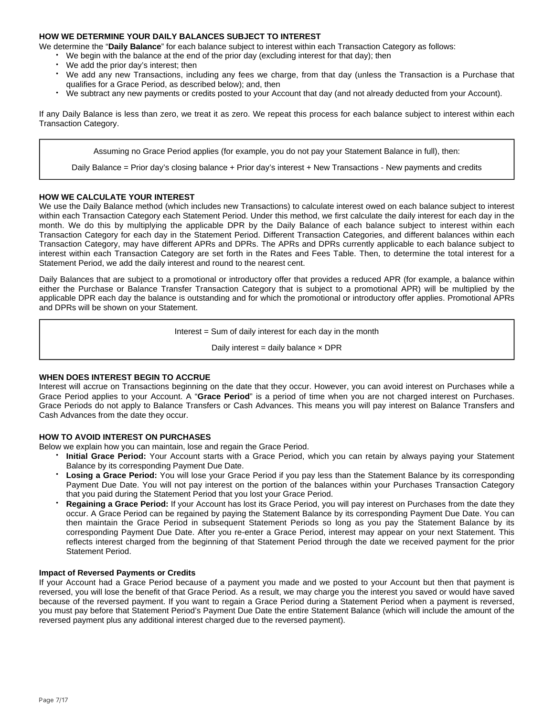### **HOW WE DETERMINE YOUR DAILY BALANCES SUBJECT TO INTEREST**

We determine the "**Daily Balance**" for each balance subject to interest within each Transaction Category as follows:

- We begin with the balance at the end of the prior day (excluding interest for that day); then
- We add the prior day's interest; then
- We add any new Transactions, including any fees we charge, from that day (unless the Transaction is a Purchase that qualifies for a Grace Period, as described below); and, then
- We subtract any new payments or credits posted to your Account that day (and not already deducted from your Account). •

If any Daily Balance is less than zero, we treat it as zero. We repeat this process for each balance subject to interest within each Transaction Category.

Assuming no Grace Period applies (for example, you do not pay your Statement Balance in full), then:

Daily Balance = Prior day's closing balance + Prior day's interest + New Transactions - New payments and credits

## **HOW WE CALCULATE YOUR INTEREST**

We use the Daily Balance method (which includes new Transactions) to calculate interest owed on each balance subject to interest within each Transaction Category each Statement Period. Under this method, we first calculate the daily interest for each day in the month. We do this by multiplying the applicable DPR by the Daily Balance of each balance subject to interest within each Transaction Category for each day in the Statement Period. Different Transaction Categories, and different balances within each Transaction Category, may have different APRs and DPRs. The APRs and DPRs currently applicable to each balance subject to interest within each Transaction Category are set forth in the Rates and Fees Table. Then, to determine the total interest for a Statement Period, we add the daily interest and round to the nearest cent.

Daily Balances that are subject to a promotional or introductory offer that provides a reduced APR (for example, a balance within either the Purchase or Balance Transfer Transaction Category that is subject to a promotional APR) will be multiplied by the applicable DPR each day the balance is outstanding and for which the promotional or introductory offer applies. Promotional APRs and DPRs will be shown on your Statement.

Interest = Sum of daily interest for each day in the month

Daily interest = daily balance  $\times$  DPR

## **WHEN DOES INTEREST BEGIN TO ACCRUE**

Interest will accrue on Transactions beginning on the date that they occur. However, you can avoid interest on Purchases while a Grace Period applies to your Account. A "**Grace Period**" is a period of time when you are not charged interest on Purchases. Grace Periods do not apply to Balance Transfers or Cash Advances. This means you will pay interest on Balance Transfers and Cash Advances from the date they occur.

#### **HOW TO AVOID INTEREST ON PURCHASES**

Below we explain how you can maintain, lose and regain the Grace Period.

- **Initial Grace Period:** Your Account starts with a Grace Period, which you can retain by always paying your Statement Balance by its corresponding Payment Due Date.
- **Losing a Grace Period:** You will lose your Grace Period if you pay less than the Statement Balance by its corresponding Payment Due Date. You will not pay interest on the portion of the balances within your Purchases Transaction Category that you paid during the Statement Period that you lost your Grace Period. •
- **Regaining a Grace Period:** If your Account has lost its Grace Period, you will pay interest on Purchases from the date they occur. A Grace Period can be regained by paying the Statement Balance by its corresponding Payment Due Date. You can then maintain the Grace Period in subsequent Statement Periods so long as you pay the Statement Balance by its corresponding Payment Due Date. After you re-enter a Grace Period, interest may appear on your next Statement. This reflects interest charged from the beginning of that Statement Period through the date we received payment for the prior Statement Period. •

#### **Impact of Reversed Payments or Credits**

If your Account had a Grace Period because of a payment you made and we posted to your Account but then that payment is reversed, you will lose the benefit of that Grace Period. As a result, we may charge you the interest you saved or would have saved because of the reversed payment. If you want to regain a Grace Period during a Statement Period when a payment is reversed, you must pay before that Statement Period's Payment Due Date the entire Statement Balance (which will include the amount of the reversed payment plus any additional interest charged due to the reversed payment).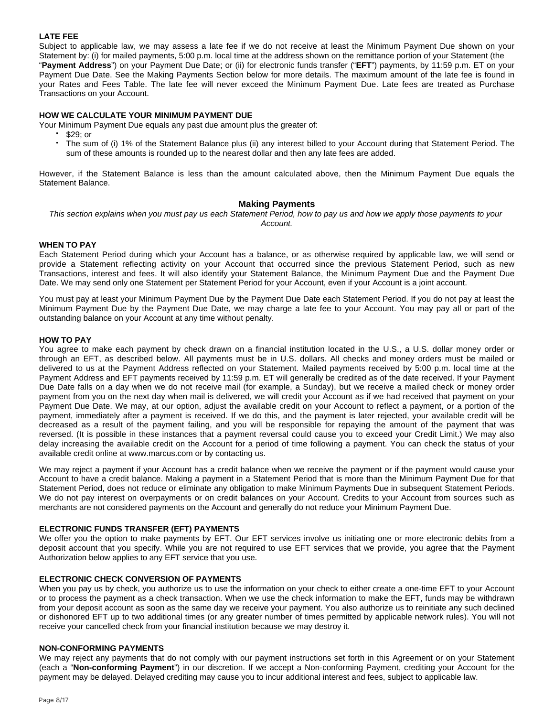## **LATE FEE**

Subject to applicable law, we may assess a late fee if we do not receive at least the Minimum Payment Due shown on your Statement by: (i) for mailed payments, 5:00 p.m. local time at the address shown on the remittance portion of your Statement (the "**Payment Address**") on your Payment Due Date; or (ii) for electronic funds transfer ("**EFT**") payments, by 11:59 p.m. ET on your Payment Due Date. See the Making Payments Section below for more details. The maximum amount of the late fee is found in your Rates and Fees Table. The late fee will never exceed the Minimum Payment Due. Late fees are treated as Purchase Transactions on your Account.

## **HOW WE CALCULATE YOUR MINIMUM PAYMENT DUE**

Your Minimum Payment Due equals any past due amount plus the greater of:

- $529$ ; or
- The sum of (i) 1% of the Statement Balance plus (ii) any interest billed to your Account during that Statement Period. The •sum of these amounts is rounded up to the nearest dollar and then any late fees are added.

However, if the Statement Balance is less than the amount calculated above, then the Minimum Payment Due equals the Statement Balance.

## **Making Payments**

This section explains when you must pay us each Statement Period, how to pay us and how we apply those payments to your Account.

## **WHEN TO PAY**

Each Statement Period during which your Account has a balance, or as otherwise required by applicable law, we will send or provide a Statement reflecting activity on your Account that occurred since the previous Statement Period, such as new Transactions, interest and fees. It will also identify your Statement Balance, the Minimum Payment Due and the Payment Due Date. We may send only one Statement per Statement Period for your Account, even if your Account is a joint account.

You must pay at least your Minimum Payment Due by the Payment Due Date each Statement Period. If you do not pay at least the Minimum Payment Due by the Payment Due Date, we may charge a late fee to your Account. You may pay all or part of the outstanding balance on your Account at any time without penalty.

## **HOW TO PAY**

You agree to make each payment by check drawn on a financial institution located in the U.S., a U.S. dollar money order or through an EFT, as described below. All payments must be in U.S. dollars. All checks and money orders must be mailed or delivered to us at the Payment Address reflected on your Statement. Mailed payments received by 5:00 p.m. local time at the Payment Address and EFT payments received by 11:59 p.m. ET will generally be credited as of the date received. If your Payment Due Date falls on a day when we do not receive mail (for example, a Sunday), but we receive a mailed check or money order payment from you on the next day when mail is delivered, we will credit your Account as if we had received that payment on your Payment Due Date. We may, at our option, adjust the available credit on your Account to reflect a payment, or a portion of the payment, immediately after a payment is received. If we do this, and the payment is later rejected, your available credit will be decreased as a result of the payment failing, and you will be responsible for repaying the amount of the payment that was reversed. (It is possible in these instances that a payment reversal could cause you to exceed your Credit Limit.) We may also delay increasing the available credit on the Account for a period of time following a payment. You can check the status of your available credit online at www.marcus.com or by contacting us.

We may reject a payment if your Account has a credit balance when we receive the payment or if the payment would cause your Account to have a credit balance. Making a payment in a Statement Period that is more than the Minimum Payment Due for that Statement Period, does not reduce or eliminate any obligation to make Minimum Payments Due in subsequent Statement Periods. We do not pay interest on overpayments or on credit balances on your Account. Credits to your Account from sources such as merchants are not considered payments on the Account and generally do not reduce your Minimum Payment Due.

## **ELECTRONIC FUNDS TRANSFER (EFT) PAYMENTS**

We offer you the option to make payments by EFT. Our EFT services involve us initiating one or more electronic debits from a deposit account that you specify. While you are not required to use EFT services that we provide, you agree that the Payment Authorization below applies to any EFT service that you use.

## **ELECTRONIC CHECK CONVERSION OF PAYMENTS**

When you pay us by check, you authorize us to use the information on your check to either create a one-time EFT to your Account or to process the payment as a check transaction. When we use the check information to make the EFT, funds may be withdrawn from your deposit account as soon as the same day we receive your payment. You also authorize us to reinitiate any such declined or dishonored EFT up to two additional times (or any greater number of times permitted by applicable network rules). You will not receive your cancelled check from your financial institution because we may destroy it.

## **NON-CONFORMING PAYMENTS**

We may reject any payments that do not comply with our payment instructions set forth in this Agreement or on your Statement (each a "**Non-conforming Payment**") in our discretion. If we accept a Non-conforming Payment, crediting your Account for the payment may be delayed. Delayed crediting may cause you to incur additional interest and fees, subject to applicable law.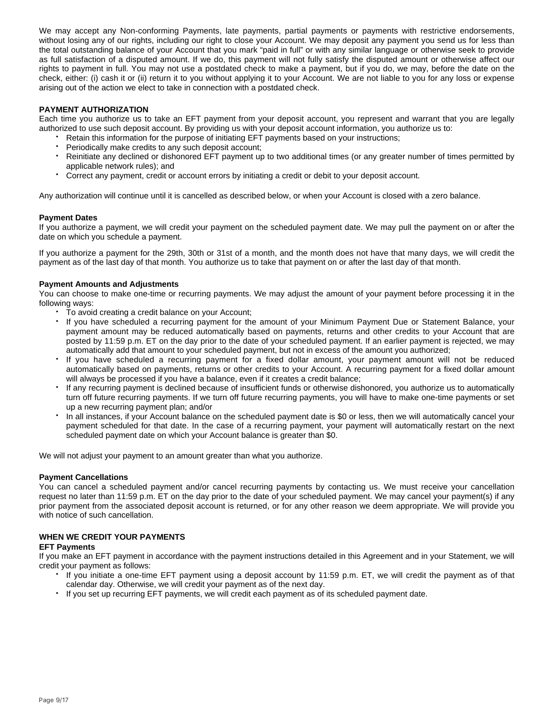We may accept any Non-conforming Payments, late payments, partial payments or payments with restrictive endorsements, without losing any of our rights, including our right to close your Account. We may deposit any payment you send us for less than the total outstanding balance of your Account that you mark "paid in full" or with any similar language or otherwise seek to provide as full satisfaction of a disputed amount. If we do, this payment will not fully satisfy the disputed amount or otherwise affect our rights to payment in full. You may not use a postdated check to make a payment, but if you do, we may, before the date on the check, either: (i) cash it or (ii) return it to you without applying it to your Account. We are not liable to you for any loss or expense arising out of the action we elect to take in connection with a postdated check.

## **PAYMENT AUTHORIZATION**

Each time you authorize us to take an EFT payment from your deposit account, you represent and warrant that you are legally authorized to use such deposit account. By providing us with your deposit account information, you authorize us to:

- \* Retain this information for the purpose of initiating EFT payments based on your instructions;
- Periodically make credits to any such deposit account; •
- Reinitiate any declined or dishonored EFT payment up to two additional times (or any greater number of times permitted by applicable network rules); and
- Correct any payment, credit or account errors by initiating a credit or debit to your deposit account. •

Any authorization will continue until it is cancelled as described below, or when your Account is closed with a zero balance.

## **Payment Dates**

If you authorize a payment, we will credit your payment on the scheduled payment date. We may pull the payment on or after the date on which you schedule a payment.

If you authorize a payment for the 29th, 30th or 31st of a month, and the month does not have that many days, we will credit the payment as of the last day of that month. You authorize us to take that payment on or after the last day of that month.

#### **Payment Amounts and Adjustments**

You can choose to make one-time or recurring payments. We may adjust the amount of your payment before processing it in the following ways:

- To avoid creating a credit balance on your Account; •
- If you have scheduled a recurring payment for the amount of your Minimum Payment Due or Statement Balance, your payment amount may be reduced automatically based on payments, returns and other credits to your Account that are posted by 11:59 p.m. ET on the day prior to the date of your scheduled payment. If an earlier payment is rejected, we may automatically add that amount to your scheduled payment, but not in excess of the amount you authorized;
- If you have scheduled a recurring payment for a fixed dollar amount, your payment amount will not be reduced automatically based on payments, returns or other credits to your Account. A recurring payment for a fixed dollar amount will always be processed if you have a balance, even if it creates a credit balance;
- If any recurring payment is declined because of insufficient funds or otherwise dishonored, you authorize us to automatically turn off future recurring payments. If we turn off future recurring payments, you will have to make one-time payments or set up a new recurring payment plan; and/or •
- In all instances, if your Account balance on the scheduled payment date is \$0 or less, then we will automatically cancel your payment scheduled for that date. In the case of a recurring payment, your payment will automatically restart on the next scheduled payment date on which your Account balance is greater than \$0. •

We will not adjust your payment to an amount greater than what you authorize.

#### **Payment Cancellations**

You can cancel a scheduled payment and/or cancel recurring payments by contacting us. We must receive your cancellation request no later than 11:59 p.m. ET on the day prior to the date of your scheduled payment. We may cancel your payment(s) if any prior payment from the associated deposit account is returned, or for any other reason we deem appropriate. We will provide you with notice of such cancellation.

## **WHEN WE CREDIT YOUR PAYMENTS**

#### **EFT Payments**

If you make an EFT payment in accordance with the payment instructions detailed in this Agreement and in your Statement, we will credit your payment as follows:

- If you initiate a one-time EFT payment using a deposit account by 11:59 p.m. ET, we will credit the payment as of that calendar day. Otherwise, we will credit your payment as of the next day.
- If you set up recurring EFT payments, we will credit each payment as of its scheduled payment date. •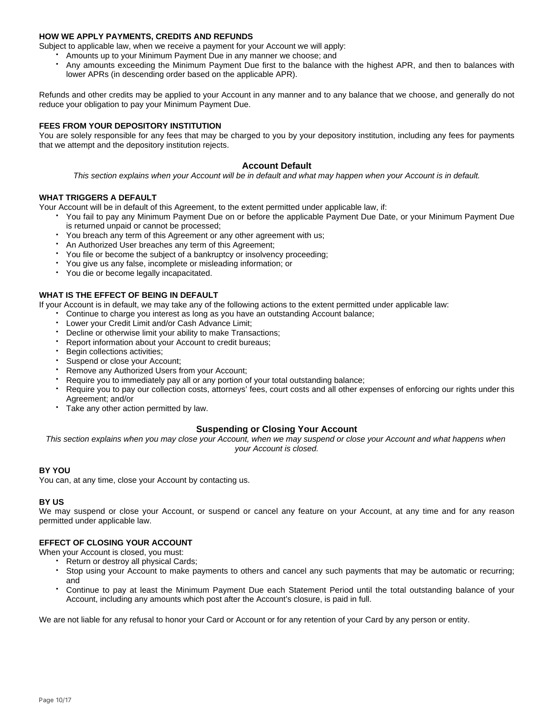## **HOW WE APPLY PAYMENTS, CREDITS AND REFUNDS**

Subject to applicable law, when we receive a payment for your Account we will apply:

- Amounts up to your Minimum Payment Due in any manner we choose; and
- Any amounts exceeding the Minimum Payment Due first to the balance with the highest APR, and then to balances with lower APRs (in descending order based on the applicable APR).

Refunds and other credits may be applied to your Account in any manner and to any balance that we choose, and generally do not reduce your obligation to pay your Minimum Payment Due.

## **FEES FROM YOUR DEPOSITORY INSTITUTION**

You are solely responsible for any fees that may be charged to you by your depository institution, including any fees for payments that we attempt and the depository institution rejects.

#### **Account Default**

This section explains when your Account will be in default and what may happen when your Account is in default.

#### **WHAT TRIGGERS A DEFAULT**

Your Account will be in default of this Agreement, to the extent permitted under applicable law, if:

You fail to pay any Minimum Payment Due on or before the applicable Payment Due Date, or your Minimum Payment Due • is returned unpaid or cannot be processed;

- You breach any term of this Agreement or any other agreement with us; •
- An Authorized User breaches any term of this Agreement;
- You file or become the subject of a bankruptcy or insolvency proceeding;
- You give us any false, incomplete or misleading information; or<br>• You die or become legally incapacitated
- You die or become legally incapacitated. •

## **WHAT IS THE EFFECT OF BEING IN DEFAULT**

If your Account is in default, we may take any of the following actions to the extent permitted under applicable law:

Continue to charge you interest as long as you have an outstanding Account balance; •

- Lower your Credit Limit and/or Cash Advance Limit; •
- Decline or otherwise limit your ability to make Transactions; •
- Report information about your Account to credit bureaus; •
- Begin collections activities:
- Suspend or close your Account; •
- Remove any Authorized Users from your Account; •
- Require you to immediately pay all or any portion of your total outstanding balance; •
- Require you to pay our collection costs, attorneys' fees, court costs and all other expenses of enforcing our rights under this Agreement; and/or •
- Take any other action permitted by law.

## **Suspending or Closing Your Account**

This section explains when you may close your Account, when we may suspend or close your Account and what happens when your Account is closed.

## **BY YOU**

You can, at any time, close your Account by contacting us.

#### **BY US**

We may suspend or close your Account, or suspend or cancel any feature on your Account, at any time and for any reason permitted under applicable law.

# **EFFECT OF CLOSING YOUR ACCOUNT**

When your Account is closed, you must:

- Return or destroy all physical Cards;
- Stop using your Account to make payments to others and cancel any such payments that may be automatic or recurring; and
- Continue to pay at least the Minimum Payment Due each Statement Period until the total outstanding balance of your Account, including any amounts which post after the Account's closure, is paid in full. •

We are not liable for any refusal to honor your Card or Account or for any retention of your Card by any person or entity.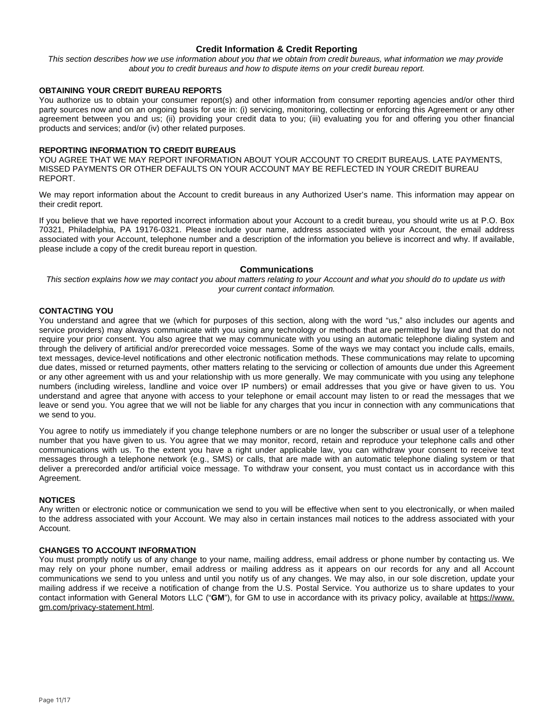## **Credit Information & Credit Reporting**

This section describes how we use information about you that we obtain from credit bureaus, what information we may provide about you to credit bureaus and how to dispute items on your credit bureau report.

## **OBTAINING YOUR CREDIT BUREAU REPORTS**

You authorize us to obtain your consumer report(s) and other information from consumer reporting agencies and/or other third party sources now and on an ongoing basis for use in: (i) servicing, monitoring, collecting or enforcing this Agreement or any other agreement between you and us; (ii) providing your credit data to you; (iii) evaluating you for and offering you other financial products and services; and/or (iv) other related purposes.

#### **REPORTING INFORMATION TO CREDIT BUREAUS**

YOU AGREE THAT WE MAY REPORT INFORMATION ABOUT YOUR ACCOUNT TO CREDIT BUREAUS. LATE PAYMENTS, MISSED PAYMENTS OR OTHER DEFAULTS ON YOUR ACCOUNT MAY BE REFLECTED IN YOUR CREDIT BUREAU REPORT.

We may report information about the Account to credit bureaus in any Authorized User's name. This information may appear on their credit report.

If you believe that we have reported incorrect information about your Account to a credit bureau, you should write us at P.O. Box 70321, Philadelphia, PA 19176-0321. Please include your name, address associated with your Account, the email address associated with your Account, telephone number and a description of the information you believe is incorrect and why. If available, please include a copy of the credit bureau report in question.

#### **Communications**

This section explains how we may contact you about matters relating to your Account and what you should do to update us with your current contact information.

## **CONTACTING YOU**

You understand and agree that we (which for purposes of this section, along with the word "us," also includes our agents and service providers) may always communicate with you using any technology or methods that are permitted by law and that do not require your prior consent. You also agree that we may communicate with you using an automatic telephone dialing system and through the delivery of artificial and/or prerecorded voice messages. Some of the ways we may contact you include calls, emails, text messages, device-level notifications and other electronic notification methods. These communications may relate to upcoming due dates, missed or returned payments, other matters relating to the servicing or collection of amounts due under this Agreement or any other agreement with us and your relationship with us more generally. We may communicate with you using any telephone numbers (including wireless, landline and voice over IP numbers) or email addresses that you give or have given to us. You understand and agree that anyone with access to your telephone or email account may listen to or read the messages that we leave or send you. You agree that we will not be liable for any charges that you incur in connection with any communications that we send to you.

You agree to notify us immediately if you change telephone numbers or are no longer the subscriber or usual user of a telephone number that you have given to us. You agree that we may monitor, record, retain and reproduce your telephone calls and other communications with us. To the extent you have a right under applicable law, you can withdraw your consent to receive text messages through a telephone network (e.g., SMS) or calls, that are made with an automatic telephone dialing system or that deliver a prerecorded and/or artificial voice message. To withdraw your consent, you must contact us in accordance with this Agreement.

#### **NOTICES**

Any written or electronic notice or communication we send to you will be effective when sent to you electronically, or when mailed to the address associated with your Account. We may also in certain instances mail notices to the address associated with your Account.

## **CHANGES TO ACCOUNT INFORMATION**

You must promptly notify us of any change to your name, mailing address, email address or phone number by contacting us. We may rely on your phone number, email address or mailing address as it appears on our records for any and all Account communications we send to you unless and until you notify us of any changes. We may also, in our sole discretion, update your mailing address if we receive a notification of change from the U.S. Postal Service. You authorize us to share updates to your contact information with General Motors LLC ("**GM**"), for GM to use in accordance with its privacy policy, available at [https://www.](https://www.gm.com/privacy-statement.html) [gm.com/privacy-statement.html](https://www.gm.com/privacy-statement.html).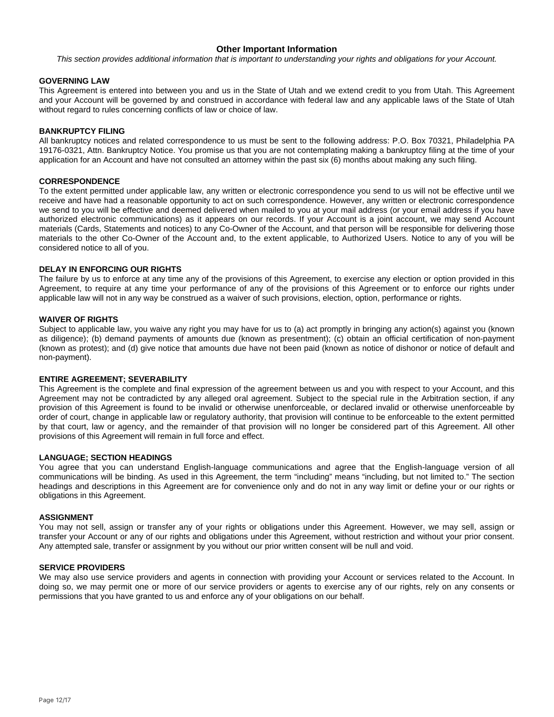## **Other Important Information**

This section provides additional information that is important to understanding your rights and obligations for your Account.

#### **GOVERNING LAW**

This Agreement is entered into between you and us in the State of Utah and we extend credit to you from Utah. This Agreement and your Account will be governed by and construed in accordance with federal law and any applicable laws of the State of Utah without regard to rules concerning conflicts of law or choice of law.

#### **BANKRUPTCY FILING**

All bankruptcy notices and related correspondence to us must be sent to the following address: P.O. Box 70321, Philadelphia PA 19176-0321, Attn. Bankruptcy Notice. You promise us that you are not contemplating making a bankruptcy filing at the time of your application for an Account and have not consulted an attorney within the past six (6) months about making any such filing.

#### **CORRESPONDENCE**

To the extent permitted under applicable law, any written or electronic correspondence you send to us will not be effective until we receive and have had a reasonable opportunity to act on such correspondence. However, any written or electronic correspondence we send to you will be effective and deemed delivered when mailed to you at your mail address (or your email address if you have authorized electronic communications) as it appears on our records. If your Account is a joint account, we may send Account materials (Cards, Statements and notices) to any Co-Owner of the Account, and that person will be responsible for delivering those materials to the other Co-Owner of the Account and, to the extent applicable, to Authorized Users. Notice to any of you will be considered notice to all of you.

## **DELAY IN ENFORCING OUR RIGHTS**

The failure by us to enforce at any time any of the provisions of this Agreement, to exercise any election or option provided in this Agreement, to require at any time your performance of any of the provisions of this Agreement or to enforce our rights under applicable law will not in any way be construed as a waiver of such provisions, election, option, performance or rights.

#### **WAIVER OF RIGHTS**

Subject to applicable law, you waive any right you may have for us to (a) act promptly in bringing any action(s) against you (known as diligence); (b) demand payments of amounts due (known as presentment); (c) obtain an official certification of non-payment (known as protest); and (d) give notice that amounts due have not been paid (known as notice of dishonor or notice of default and non-payment).

#### **ENTIRE AGREEMENT; SEVERABILITY**

This Agreement is the complete and final expression of the agreement between us and you with respect to your Account, and this Agreement may not be contradicted by any alleged oral agreement. Subject to the special rule in the Arbitration section, if any provision of this Agreement is found to be invalid or otherwise unenforceable, or declared invalid or otherwise unenforceable by order of court, change in applicable law or regulatory authority, that provision will continue to be enforceable to the extent permitted by that court, law or agency, and the remainder of that provision will no longer be considered part of this Agreement. All other provisions of this Agreement will remain in full force and effect.

## **LANGUAGE; SECTION HEADINGS**

You agree that you can understand English-language communications and agree that the English-language version of all communications will be binding. As used in this Agreement, the term "including" means "including, but not limited to." The section headings and descriptions in this Agreement are for convenience only and do not in any way limit or define your or our rights or obligations in this Agreement.

#### **ASSIGNMENT**

You may not sell, assign or transfer any of your rights or obligations under this Agreement. However, we may sell, assign or transfer your Account or any of our rights and obligations under this Agreement, without restriction and without your prior consent. Any attempted sale, transfer or assignment by you without our prior written consent will be null and void.

#### **SERVICE PROVIDERS**

We may also use service providers and agents in connection with providing your Account or services related to the Account. In doing so, we may permit one or more of our service providers or agents to exercise any of our rights, rely on any consents or permissions that you have granted to us and enforce any of your obligations on our behalf.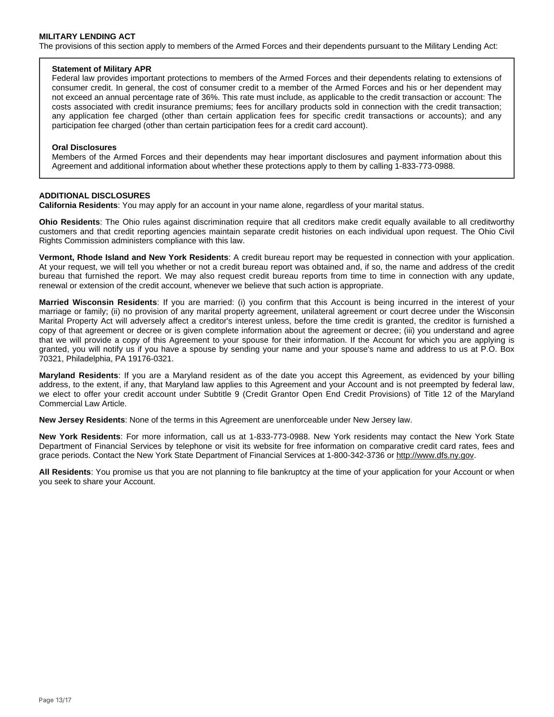## **MILITARY LENDING ACT**

The provisions of this section apply to members of the Armed Forces and their dependents pursuant to the Military Lending Act:

#### **Statement of Military APR**

Federal law provides important protections to members of the Armed Forces and their dependents relating to extensions of consumer credit. In general, the cost of consumer credit to a member of the Armed Forces and his or her dependent may not exceed an annual percentage rate of 36%. This rate must include, as applicable to the credit transaction or account: The costs associated with credit insurance premiums; fees for ancillary products sold in connection with the credit transaction; any application fee charged (other than certain application fees for specific credit transactions or accounts); and any participation fee charged (other than certain participation fees for a credit card account).

#### **Oral Disclosures**

Members of the Armed Forces and their dependents may hear important disclosures and payment information about this Agreement and additional information about whether these protections apply to them by calling 1-833-773-0988.

## **ADDITIONAL DISCLOSURES**

**California Residents**: You may apply for an account in your name alone, regardless of your marital status.

**Ohio Residents**: The Ohio rules against discrimination require that all creditors make credit equally available to all creditworthy customers and that credit reporting agencies maintain separate credit histories on each individual upon request. The Ohio Civil Rights Commission administers compliance with this law.

**Vermont, Rhode Island and New York Residents**: A credit bureau report may be requested in connection with your application. At your request, we will tell you whether or not a credit bureau report was obtained and, if so, the name and address of the credit bureau that furnished the report. We may also request credit bureau reports from time to time in connection with any update, renewal or extension of the credit account, whenever we believe that such action is appropriate.

**Married Wisconsin Residents**: If you are married: (i) you confirm that this Account is being incurred in the interest of your marriage or family; (ii) no provision of any marital property agreement, unilateral agreement or court decree under the Wisconsin Marital Property Act will adversely affect a creditor's interest unless, before the time credit is granted, the creditor is furnished a copy of that agreement or decree or is given complete information about the agreement or decree; (iii) you understand and agree that we will provide a copy of this Agreement to your spouse for their information. If the Account for which you are applying is granted, you will notify us if you have a spouse by sending your name and your spouse's name and address to us at P.O. Box 70321, Philadelphia, PA 19176-0321.

**Maryland Residents**: If you are a Maryland resident as of the date you accept this Agreement, as evidenced by your billing address, to the extent, if any, that Maryland law applies to this Agreement and your Account and is not preempted by federal law, we elect to offer your credit account under Subtitle 9 (Credit Grantor Open End Credit Provisions) of Title 12 of the Maryland Commercial Law Article.

**New Jersey Residents**: None of the terms in this Agreement are unenforceable under New Jersey law.

**New York Residents**: For more information, call us at 1-833-773-0988. New York residents may contact the New York State Department of Financial Services by telephone or visit its website for free information on comparative credit card rates, fees and grace periods. Contact the New York State Department of Financial Services at 1-800-342-3736 or [http://www.dfs.ny.gov.](http://www.dfs.ny.gov)

**All Residents**: You promise us that you are not planning to file bankruptcy at the time of your application for your Account or when you seek to share your Account.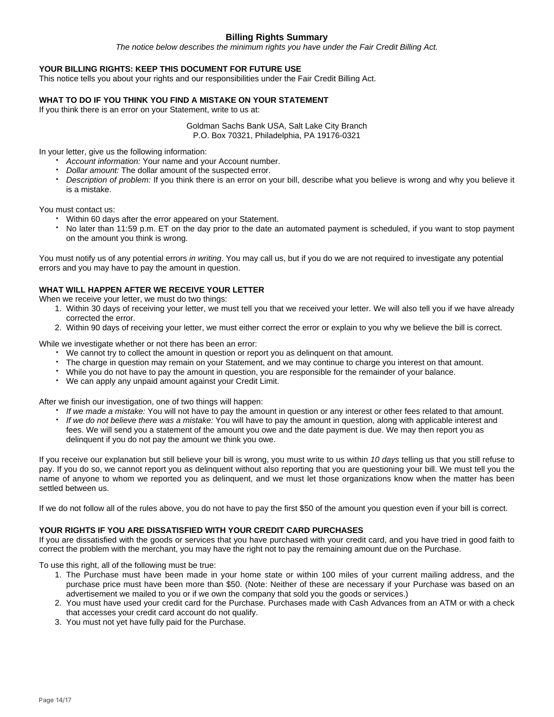# **Billing Rights Summary**

The notice below describes the minimum rights you have under the Fair Credit Billing Act.

## **YOUR BILLING RIGHTS: KEEP THIS DOCUMENT FOR FUTURE USE**

This notice tells you about your rights and our responsibilities under the Fair Credit Billing Act.

## **WHAT TO DO IF YOU THINK YOU FIND A MISTAKE ON YOUR STATEMENT**

If you think there is an error on your Statement, write to us at:

Goldman Sachs Bank USA, Salt Lake City Branch P.O. Box 70321, Philadelphia, PA 19176-0321

In your letter, give us the following information:

- Account information: Your name and your Account number.
- Dollar amount: The dollar amount of the suspected error.
- Description of problem: If you think there is an error on your bill, describe what you believe is wrong and why you believe it is a mistake.

You must contact us:

- Within 60 days after the error appeared on your Statement. •
- No later than 11:59 p.m. ET on the day prior to the date an automated payment is scheduled, if you want to stop payment on the amount you think is wrong. •

You must notify us of any potential errors in writing. You may call us, but if you do we are not required to investigate any potential errors and you may have to pay the amount in question.

## **WHAT WILL HAPPEN AFTER WE RECEIVE YOUR LETTER**

When we receive your letter, we must do two things:

- 1. Within 30 days of receiving your letter, we must tell you that we received your letter. We will also tell you if we have already corrected the error.
- 2. Within 90 days of receiving your letter, we must either correct the error or explain to you why we believe the bill is correct.

While we investigate whether or not there has been an error:

- We cannot try to collect the amount in question or report you as delinquent on that amount. •
- The charge in question may remain on your Statement, and we may continue to charge you interest on that amount. •
- While you do not have to pay the amount in question, you are responsible for the remainder of your balance. •
- We can apply any unpaid amount against your Credit Limit.

After we finish our investigation, one of two things will happen:

If we made a mistake: You will not have to pay the amount in question or any interest or other fees related to that amount. If we do not believe there was a mistake: You will have to pay the amount in question, along with applicable interest and fees. We will send you a statement of the amount you owe and the date payment is due. We may then report you as delinquent if you do not pay the amount we think you owe. •

If you receive our explanation but still believe your bill is wrong, you must write to us within 10 days telling us that you still refuse to pay. If you do so, we cannot report you as delinquent without also reporting that you are questioning your bill. We must tell you the name of anyone to whom we reported you as delinquent, and we must let those organizations know when the matter has been settled between us.

If we do not follow all of the rules above, you do not have to pay the first \$50 of the amount you question even if your bill is correct.

## **YOUR RIGHTS IF YOU ARE DISSATISFIED WITH YOUR CREDIT CARD PURCHASES**

If you are dissatisfied with the goods or services that you have purchased with your credit card, and you have tried in good faith to correct the problem with the merchant, you may have the right not to pay the remaining amount due on the Purchase.

To use this right, all of the following must be true:

- 1. The Purchase must have been made in your home state or within 100 miles of your current mailing address, and the purchase price must have been more than \$50. (Note: Neither of these are necessary if your Purchase was based on an advertisement we mailed to you or if we own the company that sold you the goods or services.)
- 2. You must have used your credit card for the Purchase. Purchases made with Cash Advances from an ATM or with a check that accesses your credit card account do not qualify.
- 3. You must not yet have fully paid for the Purchase.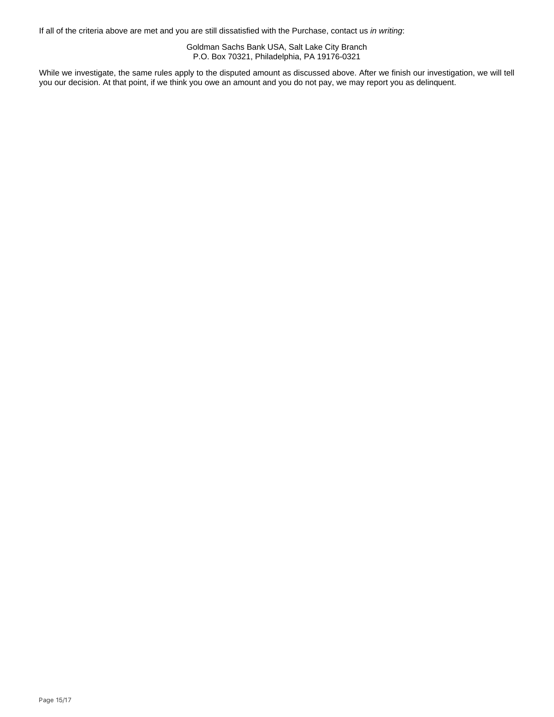If all of the criteria above are met and you are still dissatisfied with the Purchase, contact us in writing:

Goldman Sachs Bank USA, Salt Lake City Branch P.O. Box 70321, Philadelphia, PA 19176-0321

While we investigate, the same rules apply to the disputed amount as discussed above. After we finish our investigation, we will tell you our decision. At that point, if we think you owe an amount and you do not pay, we may report you as delinquent.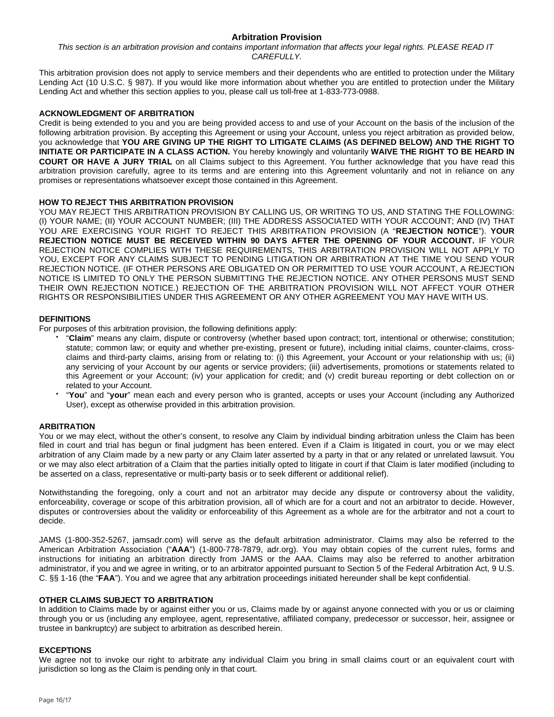# **Arbitration Provision**

This section is an arbitration provision and contains important information that affects your legal rights. PLEASE READ IT CAREFULLY.

This arbitration provision does not apply to service members and their dependents who are entitled to protection under the Military Lending Act (10 U.S.C. § 987). If you would like more information about whether you are entitled to protection under the Military Lending Act and whether this section applies to you, please call us toll-free at 1-833-773-0988.

## **ACKNOWLEDGMENT OF ARBITRATION**

Credit is being extended to you and you are being provided access to and use of your Account on the basis of the inclusion of the following arbitration provision. By accepting this Agreement or using your Account, unless you reject arbitration as provided below, you acknowledge that **YOU ARE GIVING UP THE RIGHT TO LITIGATE CLAIMS (AS DEFINED BELOW) AND THE RIGHT TO INITIATE OR PARTICIPATE IN A CLASS ACTION.** You hereby knowingly and voluntarily **WAIVE THE RIGHT TO BE HEARD IN COURT OR HAVE A JURY TRIAL** on all Claims subject to this Agreement. You further acknowledge that you have read this arbitration provision carefully, agree to its terms and are entering into this Agreement voluntarily and not in reliance on any promises or representations whatsoever except those contained in this Agreement.

## **HOW TO REJECT THIS ARBITRATION PROVISION**

YOU MAY REJECT THIS ARBITRATION PROVISION BY CALLING US, OR WRITING TO US, AND STATING THE FOLLOWING: (I) YOUR NAME; (II) YOUR ACCOUNT NUMBER; (III) THE ADDRESS ASSOCIATED WITH YOUR ACCOUNT; AND (IV) THAT YOU ARE EXERCISING YOUR RIGHT TO REJECT THIS ARBITRATION PROVISION (A "**REJECTION NOTICE**"). **YOUR REJECTION NOTICE MUST BE RECEIVED WITHIN 90 DAYS AFTER THE OPENING OF YOUR ACCOUNT.** IF YOUR REJECTION NOTICE COMPLIES WITH THESE REQUIREMENTS, THIS ARBITRATION PROVISION WILL NOT APPLY TO YOU, EXCEPT FOR ANY CLAIMS SUBJECT TO PENDING LITIGATION OR ARBITRATION AT THE TIME YOU SEND YOUR REJECTION NOTICE. (IF OTHER PERSONS ARE OBLIGATED ON OR PERMITTED TO USE YOUR ACCOUNT, A REJECTION NOTICE IS LIMITED TO ONLY THE PERSON SUBMITTING THE REJECTION NOTICE. ANY OTHER PERSONS MUST SEND THEIR OWN REJECTION NOTICE.) REJECTION OF THE ARBITRATION PROVISION WILL NOT AFFECT YOUR OTHER RIGHTS OR RESPONSIBILITIES UNDER THIS AGREEMENT OR ANY OTHER AGREEMENT YOU MAY HAVE WITH US.

## **DEFINITIONS**

For purposes of this arbitration provision, the following definitions apply:

- "**Claim**" means any claim, dispute or controversy (whether based upon contract; tort, intentional or otherwise; constitution; statute; common law; or equity and whether pre-existing, present or future), including initial claims, counter-claims, crossclaims and third-party claims, arising from or relating to: (i) this Agreement, your Account or your relationship with us; (ii) any servicing of your Account by our agents or service providers; (iii) advertisements, promotions or statements related to this Agreement or your Account; (iv) your application for credit; and (v) credit bureau reporting or debt collection on or related to your Account.
- "**You**" and "**your**" mean each and every person who is granted, accepts or uses your Account (including any Authorized User), except as otherwise provided in this arbitration provision. •

## **ARBITRATION**

You or we may elect, without the other's consent, to resolve any Claim by individual binding arbitration unless the Claim has been filed in court and trial has begun or final judgment has been entered. Even if a Claim is litigated in court, you or we may elect arbitration of any Claim made by a new party or any Claim later asserted by a party in that or any related or unrelated lawsuit. You or we may also elect arbitration of a Claim that the parties initially opted to litigate in court if that Claim is later modified (including to be asserted on a class, representative or multi-party basis or to seek different or additional relief).

Notwithstanding the foregoing, only a court and not an arbitrator may decide any dispute or controversy about the validity, enforceability, coverage or scope of this arbitration provision, all of which are for a court and not an arbitrator to decide. However, disputes or controversies about the validity or enforceability of this Agreement as a whole are for the arbitrator and not a court to decide.

JAMS (1-800-352-5267, jamsadr.com) will serve as the default arbitration administrator. Claims may also be referred to the American Arbitration Association ("**AAA**") (1-800-778-7879, adr.org). You may obtain copies of the current rules, forms and instructions for initiating an arbitration directly from JAMS or the AAA. Claims may also be referred to another arbitration administrator, if you and we agree in writing, or to an arbitrator appointed pursuant to Section 5 of the Federal Arbitration Act, 9 U.S. C. §§ 1-16 (the "**FAA**"). You and we agree that any arbitration proceedings initiated hereunder shall be kept confidential.

## **OTHER CLAIMS SUBJECT TO ARBITRATION**

In addition to Claims made by or against either you or us, Claims made by or against anyone connected with you or us or claiming through you or us (including any employee, agent, representative, affiliated company, predecessor or successor, heir, assignee or trustee in bankruptcy) are subject to arbitration as described herein.

## **EXCEPTIONS**

We agree not to invoke our right to arbitrate any individual Claim you bring in small claims court or an equivalent court with jurisdiction so long as the Claim is pending only in that court.